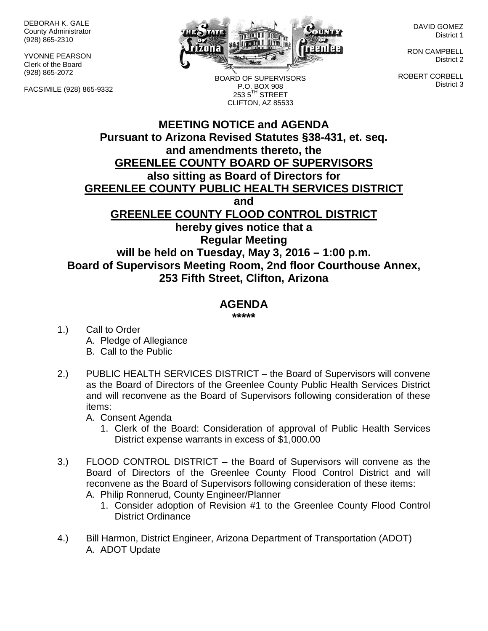DEBORAH K. GALE County Administrator (928) 865-2310

YVONNE PEARSON Clerk of the Board (928) 865-2072

FACSIMILE (928) 865-9332



BOARD OF SUPERVISORS P.O. BOX 908  $2535^{\text{TH}}$  STREET CLIFTON, AZ 85533

DAVID GOMEZ District 1

RON CAMPBELL District 2

ROBERT CORBELL District 3

# **MEETING NOTICE and AGENDA Pursuant to Arizona Revised Statutes §38-431, et. seq. and amendments thereto, the GREENLEE COUNTY BOARD OF SUPERVISORS also sitting as Board of Directors for GREENLEE COUNTY PUBLIC HEALTH SERVICES DISTRICT and GREENLEE COUNTY FLOOD CONTROL DISTRICT hereby gives notice that a Regular Meeting will be held on Tuesday, May 3, 2016 – 1:00 p.m. Board of Supervisors Meeting Room, 2nd floor Courthouse Annex, 253 Fifth Street, Clifton, Arizona**

# **AGENDA**

**\*\*\*\*\***

- 1.) Call to Order A. Pledge of Allegiance B. Call to the Public
- 2.) PUBLIC HEALTH SERVICES DISTRICT the Board of Supervisors will convene as the Board of Directors of the Greenlee County Public Health Services District and will reconvene as the Board of Supervisors following consideration of these items:

A. Consent Agenda

- 1. Clerk of the Board: Consideration of approval of Public Health Services District expense warrants in excess of \$1,000.00
- 3.) FLOOD CONTROL DISTRICT the Board of Supervisors will convene as the Board of Directors of the Greenlee County Flood Control District and will reconvene as the Board of Supervisors following consideration of these items: A. Philip Ronnerud, County Engineer/Planner
	- 1. Consider adoption of Revision #1 to the Greenlee County Flood Control District Ordinance
- 4.) Bill Harmon, District Engineer, Arizona Department of Transportation (ADOT) A. ADOT Update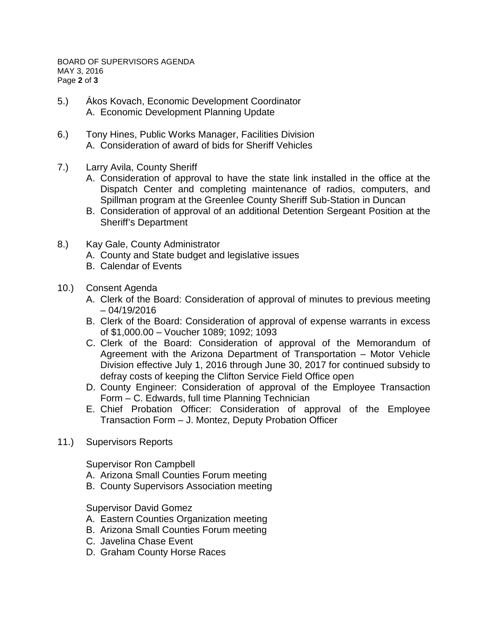- 5.) Ákos Kovach, Economic Development Coordinator A. Economic Development Planning Update
- 6.) Tony Hines, Public Works Manager, Facilities Division A. Consideration of award of bids for Sheriff Vehicles
- 7.) Larry Avila, County Sheriff
	- A. Consideration of approval to have the state link installed in the office at the Dispatch Center and completing maintenance of radios, computers, and Spillman program at the Greenlee County Sheriff Sub-Station in Duncan
	- B. Consideration of approval of an additional Detention Sergeant Position at the Sheriff's Department
- 8.) Kay Gale, County Administrator
	- A. County and State budget and legislative issues
	- B. Calendar of Events
- 10.) Consent Agenda
	- A. Clerk of the Board: Consideration of approval of minutes to previous meeting – 04/19/2016
	- B. Clerk of the Board: Consideration of approval of expense warrants in excess of \$1,000.00 – Voucher 1089; 1092; 1093
	- C. Clerk of the Board: Consideration of approval of the Memorandum of Agreement with the Arizona Department of Transportation – Motor Vehicle Division effective July 1, 2016 through June 30, 2017 for continued subsidy to defray costs of keeping the Clifton Service Field Office open
	- D. County Engineer: Consideration of approval of the Employee Transaction Form – C. Edwards, full time Planning Technician
	- E. Chief Probation Officer: Consideration of approval of the Employee Transaction Form – J. Montez, Deputy Probation Officer
- 11.) Supervisors Reports

Supervisor Ron Campbell

- A. Arizona Small Counties Forum meeting
- B. County Supervisors Association meeting

#### Supervisor David Gomez

- A. Eastern Counties Organization meeting
- B. Arizona Small Counties Forum meeting
- C. Javelina Chase Event
- D. Graham County Horse Races